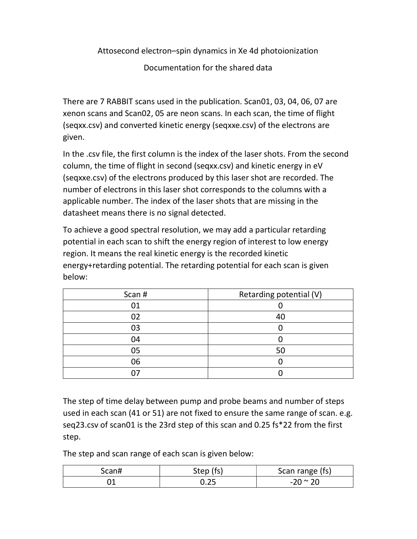Attosecond electron–spin dynamics in Xe 4d photoionization

Documentation for the shared data

There are 7 RABBIT scans used in the publication. Scan01, 03, 04, 06, 07 are xenon scans and Scan02, 05 are neon scans. In each scan, the time of flight (seqxx.csv) and converted kinetic energy (seqxxe.csv) of the electrons are given.

In the .csv file, the first column is the index of the laser shots. From the second column, the time of flight in second (seqxx.csv) and kinetic energy in eV (seqxxe.csv) of the electrons produced by this laser shot are recorded. The number of electrons in this laser shot corresponds to the columns with a applicable number. The index of the laser shots that are missing in the datasheet means there is no signal detected.

To achieve a good spectral resolution, we may add a particular retarding potential in each scan to shift the energy region of interest to low energy region. It means the real kinetic energy is the recorded kinetic energy+retarding potential. The retarding potential for each scan is given below:

| Scan # | Retarding potential (V) |
|--------|-------------------------|
|        |                         |
| 02     | 40                      |
| 03     |                         |
| 04     |                         |
| 05     | 50                      |
| 06     |                         |
|        |                         |

The step of time delay between pump and probe beams and number of steps used in each scan (41 or 51) are not fixed to ensure the same range of scan. e.g. seq23.csv of scan01 is the 23rd step of this scan and 0.25 fs\*22 from the first step.

The step and scan range of each scan is given below:

| Scan# | Step (fs) | Scan range (fs)  |
|-------|-----------|------------------|
|       | J. ZJ     | $-20 \approx 20$ |